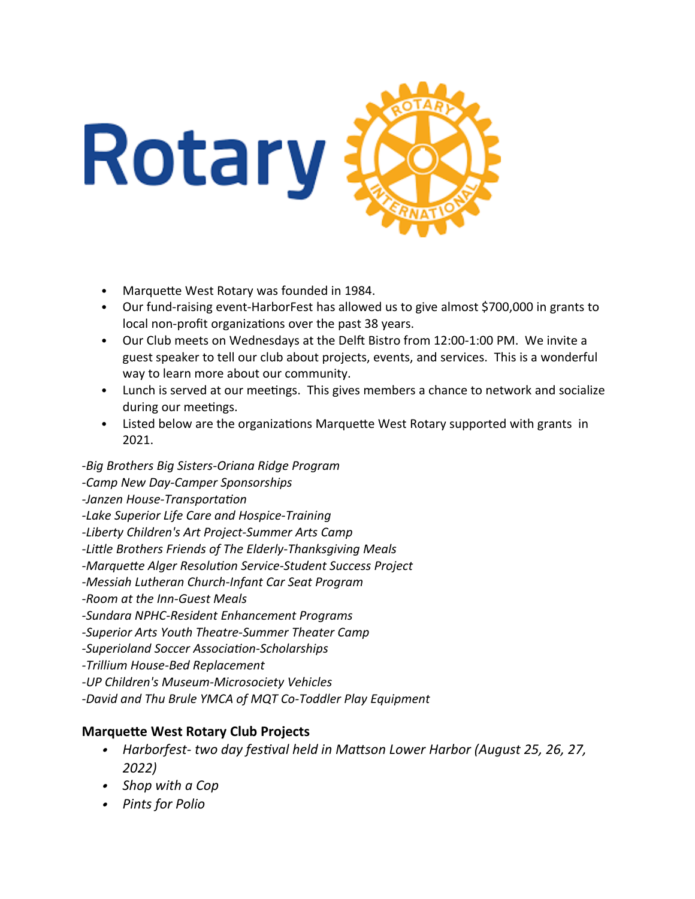

- Marquette West Rotary was founded in 1984.
- Our fund-raising event-HarborFest has allowed us to give almost \$700,000 in grants to local non-profit organizations over the past 38 years.
- Our Club meets on Wednesdays at the Delft Bistro from 12:00-1:00 PM. We invite a guest speaker to tell our club about projects, events, and services. This is a wonderful way to learn more about our community.
- Lunch is served at our meetings. This gives members a chance to network and socialize during our meetings.
- Listed below are the organizations Marquette West Rotary supported with grants in 2021.

-*Big Brothers Big Sisters-Oriana Ridge Program*

*-Camp New Day-Camper Sponsorships*

*-Janzen House-Transportation*

*-Lake Superior Life Care and Hospice-Training*

*-Liberty Children's Art Project-Summer Arts Camp*

*-Little Brothers Friends of The Elderly-Thanksgiving Meals*

*-Marquette Alger Resolution Service-Student Success Project*

*-Messiah Lutheran Church-Infant Car Seat Program*

*-Room at the Inn-Guest Meals*

*-Sundara NPHC-Resident Enhancement Programs*

*-Superior Arts Youth Theatre-Summer Theater Camp*

*-Superioland Soccer Association-Scholarships*

*-Trillium House-Bed Replacement*

*-UP Children's Museum-Microsociety Vehicles*

*-David and Thu Brule YMCA of MQT Co-Toddler Play Equipment*

## **Marquette West Rotary Club Projects**

- *Harborfest- two day festival held in Mattson Lower Harbor (August 25, 26, 27, 2022)*
- *Shop with a Cop*
- *Pints for Polio*